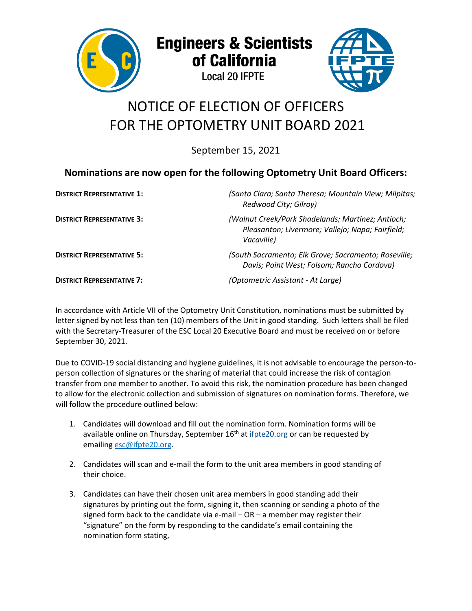

**Engineers & Scientists** of California

**Local 20 IFPTE** 



## NOTICE OF ELECTION OF OFFICERS FOR THE OPTOMETRY UNIT BOARD 2021

September 15, 2021

## **Nominations are now open for the following Optometry Unit Board Officers:**

| <b>DISTRICT REPRESENTATIVE 1:</b> | (Santa Clara; Santa Theresa; Mountain View; Milpitas;<br>Redwood City; Gilroy)                                      |
|-----------------------------------|---------------------------------------------------------------------------------------------------------------------|
| <b>DISTRICT REPRESENTATIVE 3:</b> | (Walnut Creek/Park Shadelands; Martinez; Antioch;<br>Pleasanton; Livermore; Vallejo; Napa; Fairfield;<br>Vacaville) |
| <b>DISTRICT REPRESENTATIVE 5:</b> | (South Sacramento; Elk Grove; Sacramento; Roseville;<br>Davis; Point West; Folsom; Rancho Cordova)                  |
| <b>DISTRICT REPRESENTATIVE 7:</b> | (Optometric Assistant - At Large)                                                                                   |

In accordance with Article VII of the Optometry Unit Constitution, nominations must be submitted by letter signed by not less than ten (10) members of the Unit in good standing. Such letters shall be filed with the Secretary-Treasurer of the ESC Local 20 Executive Board and must be received on or before September 30, 2021.

Due to COVID-19 social distancing and hygiene guidelines, it is not advisable to encourage the person-toperson collection of signatures or the sharing of material that could increase the risk of contagion transfer from one member to another. To avoid this risk, the nomination procedure has been changed to allow for the electronic collection and submission of signatures on nomination forms. Therefore, we will follow the procedure outlined below:

- 1. Candidates will download and fill out the nomination form. Nomination forms will be available online on Thursday, September  $16<sup>th</sup>$  at [ifpte20.org](http://www.ifpte20.org/) or can be requested by emailin[g esc@ifpte20.org.](mailto:esc@ifpte20.org)
- 2. Candidates will scan and e-mail the form to the unit area members in good standing of their choice.
- 3. Candidates can have their chosen unit area members in good standing add their signatures by printing out the form, signing it, then scanning or sending a photo of the signed form back to the candidate via e-mail – OR – a member may register their "signature" on the form by responding to the candidate's email containing the nomination form stating,